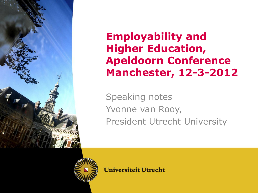

#### **Employability and Higher Education, Apeldoorn Conference Manchester, 12-3-2012**

Speaking notes Yvonne van Rooy, President Utrecht University

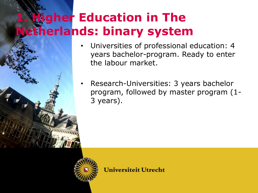## **Higher Education in The Netherlands: binary system**

- Universities of professional education: 4 years bachelor-program. Ready to enter the labour market.
- Research-Universities: 3 years bachelor program, followed by master program (1- 3 years).

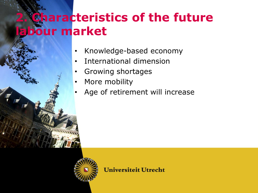### **2 haracteristics of the future labour market**

- Knowledge-based economy
- International dimension
- Growing shortages
- More mobility
- Age of retirement will increase

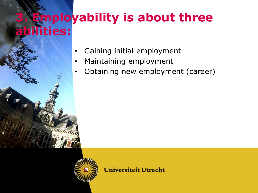# **Employability is about three abilities:**

- Gaining initial employment
- Maintaining employment
- Obtaining new employment (career)

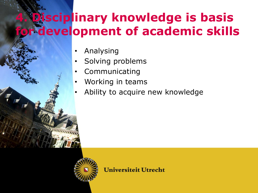## **Disciplinary knowledge is basis for development of academic skills**

- Analysing
- Solving problems
- **Communicating**
- Working in teams
- Ability to acquire new knowledge

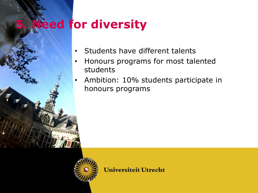### **5. Need for diversity**



- Honours programs for most talented students
- Ambition: 10% students participate in honours programs

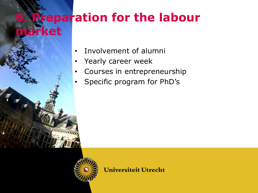#### **Feparation for the labour market**



- Yearly career week
- Courses in entrepreneurship
- Specific program for PhD's

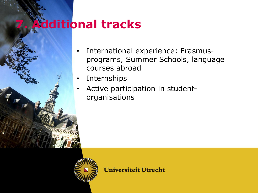### **7. Additional tracks**



- Internships
- Active participation in studentorganisations

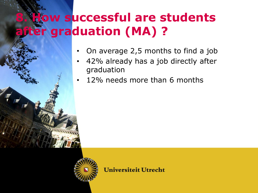### **8. How successful are students after graduation (MA) ?**

- On average 2,5 months to find a job
- 42% already has a job directly after graduation
- 12% needs more than 6 months

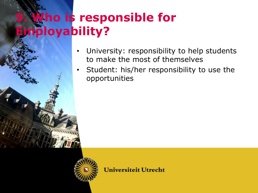# **9. Who is responsible for Employability?**

- University: responsibility to help students to make the most of themselves
- Student: his/her responsibility to use the opportunities